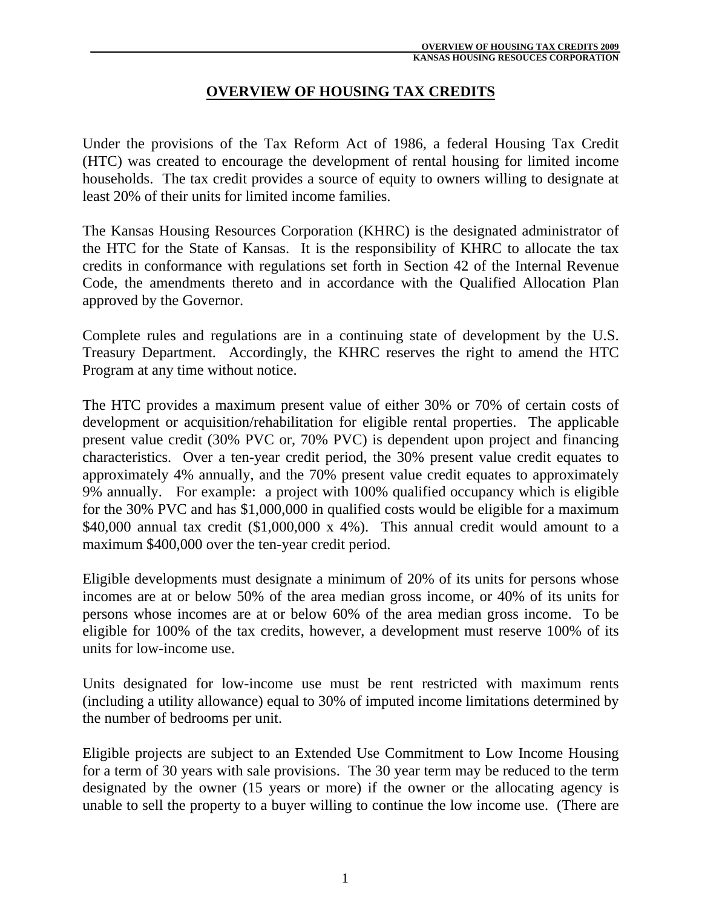### **OVERVIEW OF HOUSING TAX CREDITS**

Under the provisions of the Tax Reform Act of 1986, a federal Housing Tax Credit (HTC) was created to encourage the development of rental housing for limited income households. The tax credit provides a source of equity to owners willing to designate at least 20% of their units for limited income families.

The Kansas Housing Resources Corporation (KHRC) is the designated administrator of the HTC for the State of Kansas. It is the responsibility of KHRC to allocate the tax credits in conformance with regulations set forth in Section 42 of the Internal Revenue Code, the amendments thereto and in accordance with the Qualified Allocation Plan approved by the Governor.

Complete rules and regulations are in a continuing state of development by the U.S. Treasury Department. Accordingly, the KHRC reserves the right to amend the HTC Program at any time without notice.

The HTC provides a maximum present value of either 30% or 70% of certain costs of development or acquisition/rehabilitation for eligible rental properties. The applicable present value credit (30% PVC or, 70% PVC) is dependent upon project and financing characteristics. Over a ten-year credit period, the 30% present value credit equates to approximately 4% annually, and the 70% present value credit equates to approximately 9% annually. For example: a project with 100% qualified occupancy which is eligible for the 30% PVC and has \$1,000,000 in qualified costs would be eligible for a maximum \$40,000 annual tax credit (\$1,000,000 x 4%). This annual credit would amount to a maximum \$400,000 over the ten-year credit period.

Eligible developments must designate a minimum of 20% of its units for persons whose incomes are at or below 50% of the area median gross income, or 40% of its units for persons whose incomes are at or below 60% of the area median gross income. To be eligible for 100% of the tax credits, however, a development must reserve 100% of its units for low-income use.

Units designated for low-income use must be rent restricted with maximum rents (including a utility allowance) equal to 30% of imputed income limitations determined by the number of bedrooms per unit.

Eligible projects are subject to an Extended Use Commitment to Low Income Housing for a term of 30 years with sale provisions. The 30 year term may be reduced to the term designated by the owner (15 years or more) if the owner or the allocating agency is unable to sell the property to a buyer willing to continue the low income use. (There are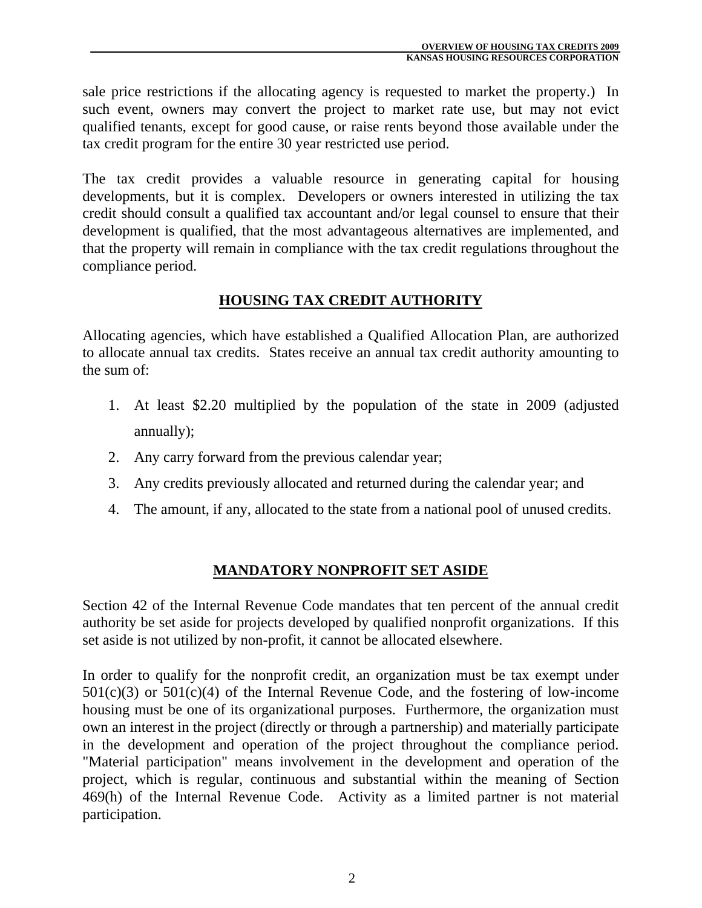sale price restrictions if the allocating agency is requested to market the property.) In such event, owners may convert the project to market rate use, but may not evict qualified tenants, except for good cause, or raise rents beyond those available under the tax credit program for the entire 30 year restricted use period.

The tax credit provides a valuable resource in generating capital for housing developments, but it is complex. Developers or owners interested in utilizing the tax credit should consult a qualified tax accountant and/or legal counsel to ensure that their development is qualified, that the most advantageous alternatives are implemented, and that the property will remain in compliance with the tax credit regulations throughout the compliance period.

## **HOUSING TAX CREDIT AUTHORITY**

Allocating agencies, which have established a Qualified Allocation Plan, are authorized to allocate annual tax credits. States receive an annual tax credit authority amounting to the sum of:

- 1. At least \$2.20 multiplied by the population of the state in 2009 (adjusted annually);
- 2. Any carry forward from the previous calendar year;
- 3. Any credits previously allocated and returned during the calendar year; and
- 4. The amount, if any, allocated to the state from a national pool of unused credits.

## **MANDATORY NONPROFIT SET ASIDE**

Section 42 of the Internal Revenue Code mandates that ten percent of the annual credit authority be set aside for projects developed by qualified nonprofit organizations. If this set aside is not utilized by non-profit, it cannot be allocated elsewhere.

In order to qualify for the nonprofit credit, an organization must be tax exempt under  $501(c)(3)$  or  $501(c)(4)$  of the Internal Revenue Code, and the fostering of low-income housing must be one of its organizational purposes. Furthermore, the organization must own an interest in the project (directly or through a partnership) and materially participate in the development and operation of the project throughout the compliance period. "Material participation" means involvement in the development and operation of the project, which is regular, continuous and substantial within the meaning of Section 469(h) of the Internal Revenue Code. Activity as a limited partner is not material participation.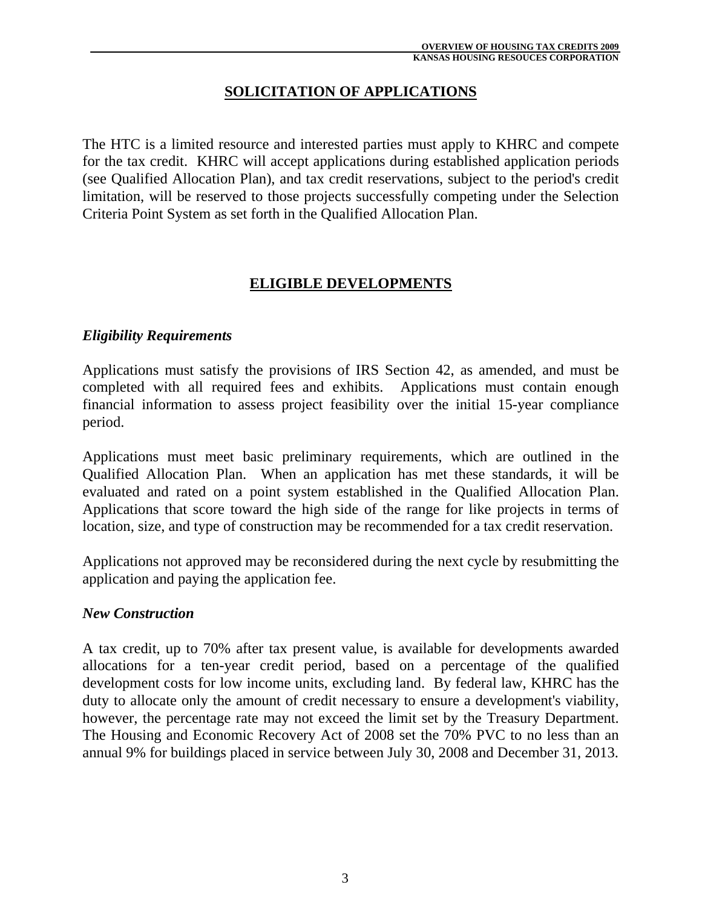## **SOLICITATION OF APPLICATIONS**

The HTC is a limited resource and interested parties must apply to KHRC and compete for the tax credit. KHRC will accept applications during established application periods (see Qualified Allocation Plan), and tax credit reservations, subject to the period's credit limitation, will be reserved to those projects successfully competing under the Selection Criteria Point System as set forth in the Qualified Allocation Plan.

### **ELIGIBLE DEVELOPMENTS**

#### *Eligibility Requirements*

Applications must satisfy the provisions of IRS Section 42, as amended, and must be completed with all required fees and exhibits. Applications must contain enough financial information to assess project feasibility over the initial 15-year compliance period.

Applications must meet basic preliminary requirements, which are outlined in the Qualified Allocation Plan. When an application has met these standards, it will be evaluated and rated on a point system established in the Qualified Allocation Plan. Applications that score toward the high side of the range for like projects in terms of location, size, and type of construction may be recommended for a tax credit reservation.

Applications not approved may be reconsidered during the next cycle by resubmitting the application and paying the application fee.

#### *New Construction*

A tax credit, up to 70% after tax present value, is available for developments awarded allocations for a ten-year credit period, based on a percentage of the qualified development costs for low income units, excluding land. By federal law, KHRC has the duty to allocate only the amount of credit necessary to ensure a development's viability, however, the percentage rate may not exceed the limit set by the Treasury Department. The Housing and Economic Recovery Act of 2008 set the 70% PVC to no less than an annual 9% for buildings placed in service between July 30, 2008 and December 31, 2013.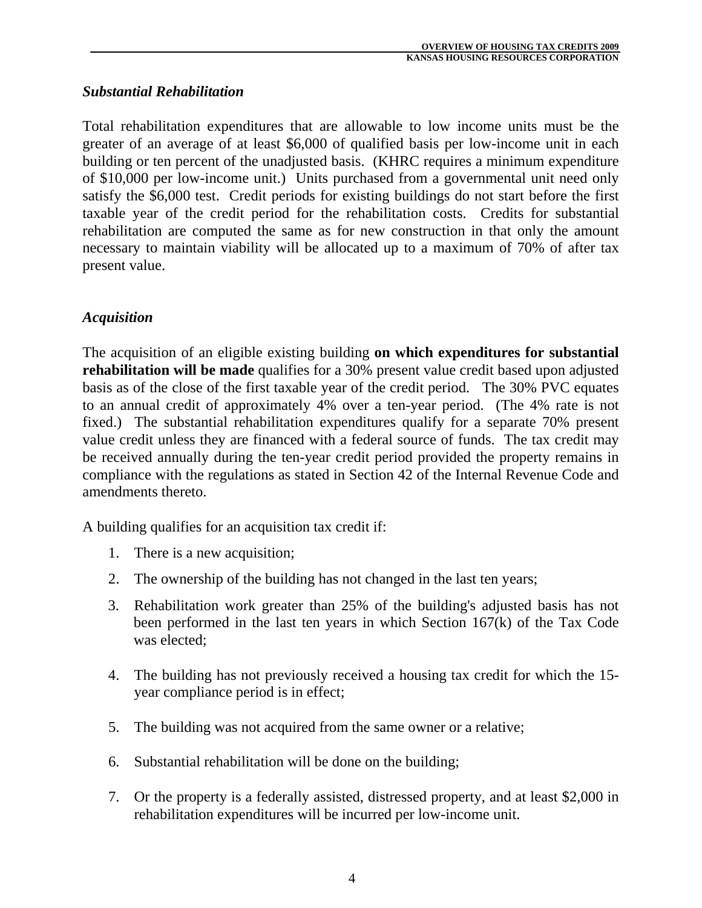### *Substantial Rehabilitation*

Total rehabilitation expenditures that are allowable to low income units must be the greater of an average of at least \$6,000 of qualified basis per low-income unit in each building or ten percent of the unadjusted basis. (KHRC requires a minimum expenditure of \$10,000 per low-income unit.) Units purchased from a governmental unit need only satisfy the \$6,000 test. Credit periods for existing buildings do not start before the first taxable year of the credit period for the rehabilitation costs. Credits for substantial rehabilitation are computed the same as for new construction in that only the amount necessary to maintain viability will be allocated up to a maximum of 70% of after tax present value.

### *Acquisition*

The acquisition of an eligible existing building **on which expenditures for substantial rehabilitation will be made** qualifies for a 30% present value credit based upon adjusted basis as of the close of the first taxable year of the credit period. The 30% PVC equates to an annual credit of approximately 4% over a ten-year period. (The 4% rate is not fixed.) The substantial rehabilitation expenditures qualify for a separate 70% present value credit unless they are financed with a federal source of funds. The tax credit may be received annually during the ten-year credit period provided the property remains in compliance with the regulations as stated in Section 42 of the Internal Revenue Code and amendments thereto.

A building qualifies for an acquisition tax credit if:

- 1. There is a new acquisition;
- 2. The ownership of the building has not changed in the last ten years;
- 3. Rehabilitation work greater than 25% of the building's adjusted basis has not been performed in the last ten years in which Section 167(k) of the Tax Code was elected;
- 4. The building has not previously received a housing tax credit for which the 15 year compliance period is in effect;
- 5. The building was not acquired from the same owner or a relative;
- 6. Substantial rehabilitation will be done on the building;
- 7. Or the property is a federally assisted, distressed property, and at least \$2,000 in rehabilitation expenditures will be incurred per low-income unit.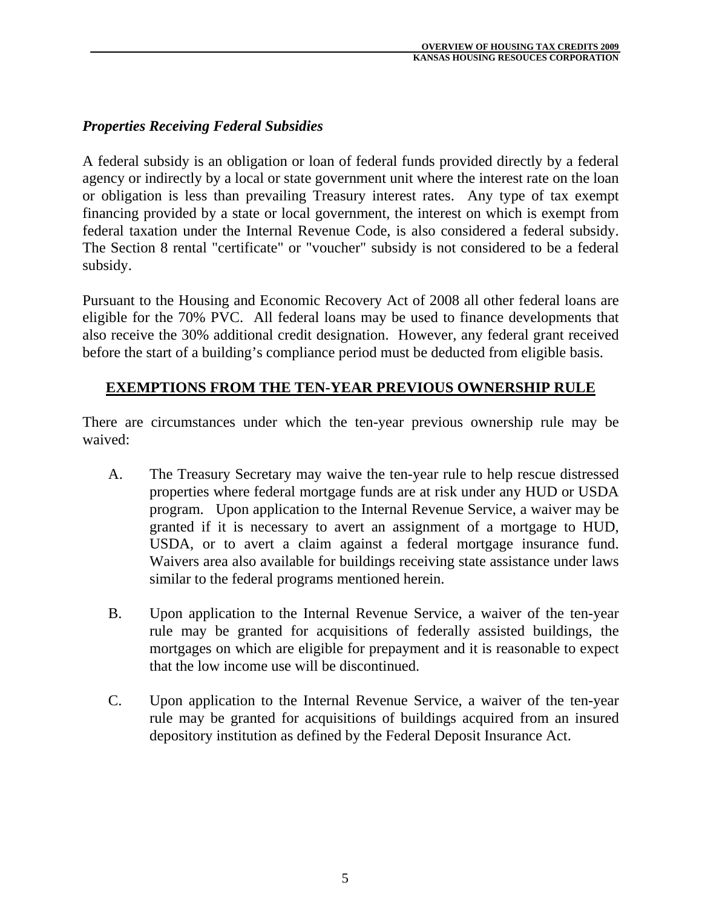### *Properties Receiving Federal Subsidies*

A federal subsidy is an obligation or loan of federal funds provided directly by a federal agency or indirectly by a local or state government unit where the interest rate on the loan or obligation is less than prevailing Treasury interest rates. Any type of tax exempt financing provided by a state or local government, the interest on which is exempt from federal taxation under the Internal Revenue Code, is also considered a federal subsidy. The Section 8 rental "certificate" or "voucher" subsidy is not considered to be a federal subsidy.

Pursuant to the Housing and Economic Recovery Act of 2008 all other federal loans are eligible for the 70% PVC. All federal loans may be used to finance developments that also receive the 30% additional credit designation. However, any federal grant received before the start of a building's compliance period must be deducted from eligible basis.

#### **EXEMPTIONS FROM THE TEN-YEAR PREVIOUS OWNERSHIP RULE**

There are circumstances under which the ten-year previous ownership rule may be waived:

- A. The Treasury Secretary may waive the ten-year rule to help rescue distressed properties where federal mortgage funds are at risk under any HUD or USDA program. Upon application to the Internal Revenue Service, a waiver may be granted if it is necessary to avert an assignment of a mortgage to HUD, USDA, or to avert a claim against a federal mortgage insurance fund. Waivers area also available for buildings receiving state assistance under laws similar to the federal programs mentioned herein.
- B. Upon application to the Internal Revenue Service, a waiver of the ten-year rule may be granted for acquisitions of federally assisted buildings, the mortgages on which are eligible for prepayment and it is reasonable to expect that the low income use will be discontinued.
- C. Upon application to the Internal Revenue Service, a waiver of the ten-year rule may be granted for acquisitions of buildings acquired from an insured depository institution as defined by the Federal Deposit Insurance Act.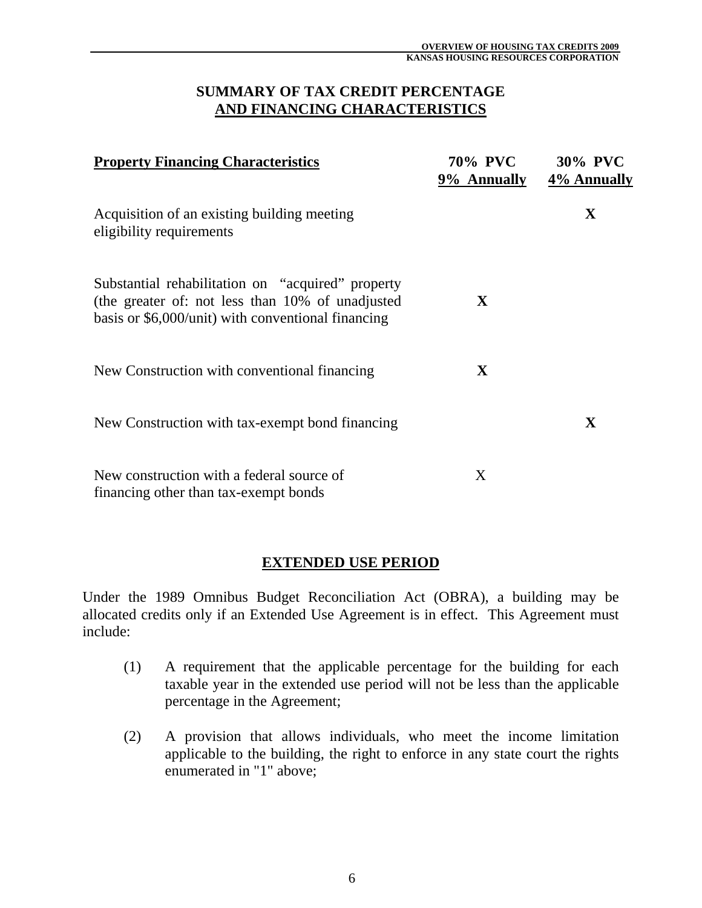#### **SUMMARY OF TAX CREDIT PERCENTAGE AND FINANCING CHARACTERISTICS**

| <b>Property Financing Characteristics</b>                                                                                                                   | 70% PVC<br>9% Annually | <b>30% PVC</b><br>4% Annually |
|-------------------------------------------------------------------------------------------------------------------------------------------------------------|------------------------|-------------------------------|
| Acquisition of an existing building meeting<br>eligibility requirements                                                                                     |                        | X                             |
| Substantial rehabilitation on "acquired" property<br>(the greater of: not less than 10% of unadjusted<br>basis or \$6,000/unit) with conventional financing | X                      |                               |
| New Construction with conventional financing                                                                                                                | X                      |                               |
| New Construction with tax-exempt bond financing                                                                                                             |                        | $\mathbf X$                   |
| New construction with a federal source of<br>financing other than tax-exempt bonds                                                                          | X                      |                               |

#### **EXTENDED USE PERIOD**

Under the 1989 Omnibus Budget Reconciliation Act (OBRA), a building may be allocated credits only if an Extended Use Agreement is in effect. This Agreement must include:

- (1) A requirement that the applicable percentage for the building for each taxable year in the extended use period will not be less than the applicable percentage in the Agreement;
- (2) A provision that allows individuals, who meet the income limitation applicable to the building, the right to enforce in any state court the rights enumerated in "1" above;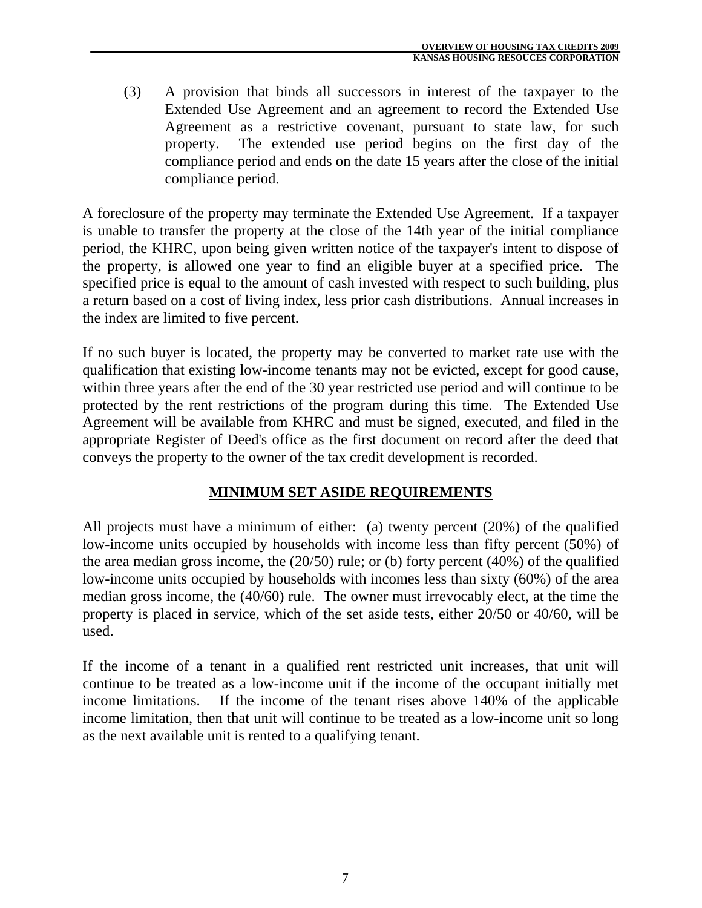(3) A provision that binds all successors in interest of the taxpayer to the Extended Use Agreement and an agreement to record the Extended Use Agreement as a restrictive covenant, pursuant to state law, for such property. The extended use period begins on the first day of the compliance period and ends on the date 15 years after the close of the initial compliance period.

A foreclosure of the property may terminate the Extended Use Agreement. If a taxpayer is unable to transfer the property at the close of the 14th year of the initial compliance period, the KHRC, upon being given written notice of the taxpayer's intent to dispose of the property, is allowed one year to find an eligible buyer at a specified price. The specified price is equal to the amount of cash invested with respect to such building, plus a return based on a cost of living index, less prior cash distributions. Annual increases in the index are limited to five percent.

If no such buyer is located, the property may be converted to market rate use with the qualification that existing low-income tenants may not be evicted, except for good cause, within three years after the end of the 30 year restricted use period and will continue to be protected by the rent restrictions of the program during this time. The Extended Use Agreement will be available from KHRC and must be signed, executed, and filed in the appropriate Register of Deed's office as the first document on record after the deed that conveys the property to the owner of the tax credit development is recorded.

## **MINIMUM SET ASIDE REQUIREMENTS**

All projects must have a minimum of either: (a) twenty percent (20%) of the qualified low-income units occupied by households with income less than fifty percent (50%) of the area median gross income, the (20/50) rule; or (b) forty percent (40%) of the qualified low-income units occupied by households with incomes less than sixty (60%) of the area median gross income, the (40/60) rule. The owner must irrevocably elect, at the time the property is placed in service, which of the set aside tests, either 20/50 or 40/60, will be used.

If the income of a tenant in a qualified rent restricted unit increases, that unit will continue to be treated as a low-income unit if the income of the occupant initially met income limitations. If the income of the tenant rises above 140% of the applicable income limitation, then that unit will continue to be treated as a low-income unit so long as the next available unit is rented to a qualifying tenant.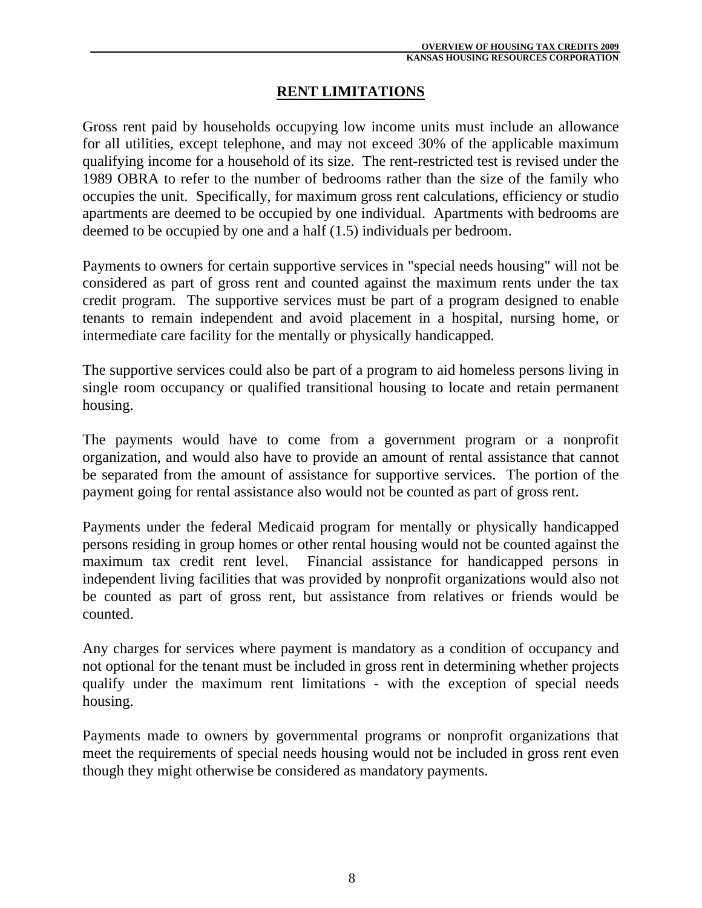### **RENT LIMITATIONS**

Gross rent paid by households occupying low income units must include an allowance for all utilities, except telephone, and may not exceed 30% of the applicable maximum qualifying income for a household of its size. The rent-restricted test is revised under the 1989 OBRA to refer to the number of bedrooms rather than the size of the family who occupies the unit. Specifically, for maximum gross rent calculations, efficiency or studio apartments are deemed to be occupied by one individual. Apartments with bedrooms are deemed to be occupied by one and a half (1.5) individuals per bedroom.

Payments to owners for certain supportive services in "special needs housing" will not be considered as part of gross rent and counted against the maximum rents under the tax credit program. The supportive services must be part of a program designed to enable tenants to remain independent and avoid placement in a hospital, nursing home, or intermediate care facility for the mentally or physically handicapped.

The supportive services could also be part of a program to aid homeless persons living in single room occupancy or qualified transitional housing to locate and retain permanent housing.

The payments would have to come from a government program or a nonprofit organization, and would also have to provide an amount of rental assistance that cannot be separated from the amount of assistance for supportive services. The portion of the payment going for rental assistance also would not be counted as part of gross rent.

Payments under the federal Medicaid program for mentally or physically handicapped persons residing in group homes or other rental housing would not be counted against the maximum tax credit rent level. Financial assistance for handicapped persons in independent living facilities that was provided by nonprofit organizations would also not be counted as part of gross rent, but assistance from relatives or friends would be counted.

Any charges for services where payment is mandatory as a condition of occupancy and not optional for the tenant must be included in gross rent in determining whether projects qualify under the maximum rent limitations - with the exception of special needs housing.

Payments made to owners by governmental programs or nonprofit organizations that meet the requirements of special needs housing would not be included in gross rent even though they might otherwise be considered as mandatory payments.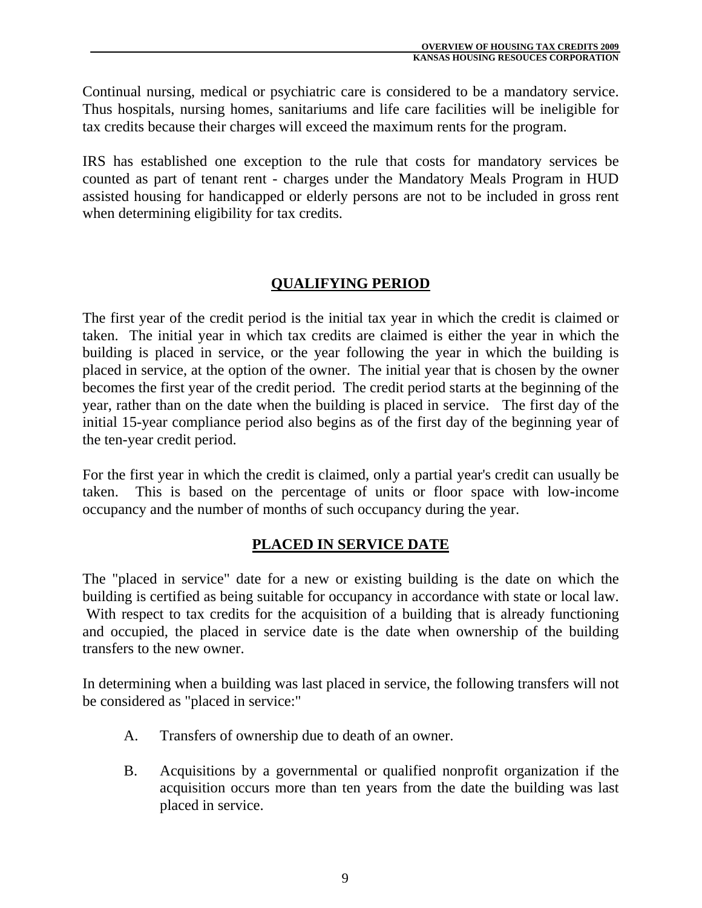Continual nursing, medical or psychiatric care is considered to be a mandatory service. Thus hospitals, nursing homes, sanitariums and life care facilities will be ineligible for tax credits because their charges will exceed the maximum rents for the program.

IRS has established one exception to the rule that costs for mandatory services be counted as part of tenant rent - charges under the Mandatory Meals Program in HUD assisted housing for handicapped or elderly persons are not to be included in gross rent when determining eligibility for tax credits.

## **QUALIFYING PERIOD**

The first year of the credit period is the initial tax year in which the credit is claimed or taken. The initial year in which tax credits are claimed is either the year in which the building is placed in service, or the year following the year in which the building is placed in service, at the option of the owner. The initial year that is chosen by the owner becomes the first year of the credit period. The credit period starts at the beginning of the year, rather than on the date when the building is placed in service. The first day of the initial 15-year compliance period also begins as of the first day of the beginning year of the ten-year credit period.

For the first year in which the credit is claimed, only a partial year's credit can usually be taken. This is based on the percentage of units or floor space with low-income occupancy and the number of months of such occupancy during the year.

#### **PLACED IN SERVICE DATE**

The "placed in service" date for a new or existing building is the date on which the building is certified as being suitable for occupancy in accordance with state or local law. With respect to tax credits for the acquisition of a building that is already functioning and occupied, the placed in service date is the date when ownership of the building transfers to the new owner.

In determining when a building was last placed in service, the following transfers will not be considered as "placed in service:"

- A. Transfers of ownership due to death of an owner.
- B. Acquisitions by a governmental or qualified nonprofit organization if the acquisition occurs more than ten years from the date the building was last placed in service.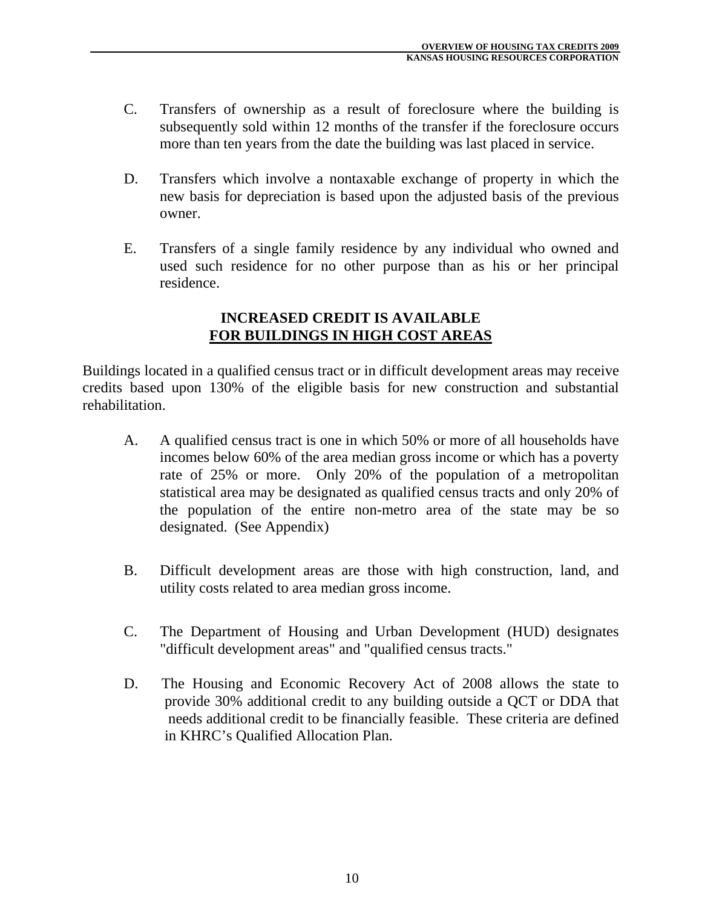- C. Transfers of ownership as a result of foreclosure where the building is subsequently sold within 12 months of the transfer if the foreclosure occurs more than ten years from the date the building was last placed in service.
- D. Transfers which involve a nontaxable exchange of property in which the new basis for depreciation is based upon the adjusted basis of the previous owner.
- E. Transfers of a single family residence by any individual who owned and used such residence for no other purpose than as his or her principal residence.

#### **INCREASED CREDIT IS AVAILABLE FOR BUILDINGS IN HIGH COST AREAS**

Buildings located in a qualified census tract or in difficult development areas may receive credits based upon 130% of the eligible basis for new construction and substantial rehabilitation.

- A. A qualified census tract is one in which 50% or more of all households have incomes below 60% of the area median gross income or which has a poverty rate of 25% or more. Only 20% of the population of a metropolitan statistical area may be designated as qualified census tracts and only 20% of the population of the entire non-metro area of the state may be so designated. (See Appendix)
- B. Difficult development areas are those with high construction, land, and utility costs related to area median gross income.
- C. The Department of Housing and Urban Development (HUD) designates "difficult development areas" and "qualified census tracts."
- D. The Housing and Economic Recovery Act of 2008 allows the state to provide 30% additional credit to any building outside a QCT or DDA that needs additional credit to be financially feasible. These criteria are defined in KHRC's Qualified Allocation Plan.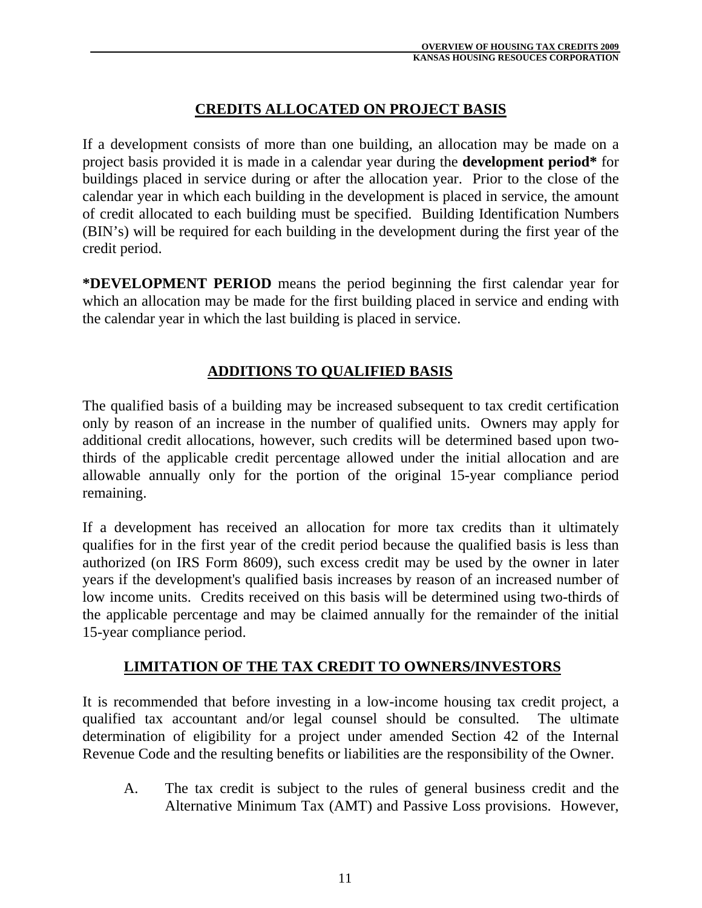## **CREDITS ALLOCATED ON PROJECT BASIS**

If a development consists of more than one building, an allocation may be made on a project basis provided it is made in a calendar year during the **development period\*** for buildings placed in service during or after the allocation year. Prior to the close of the calendar year in which each building in the development is placed in service, the amount of credit allocated to each building must be specified. Building Identification Numbers (BIN's) will be required for each building in the development during the first year of the credit period.

**\*DEVELOPMENT PERIOD** means the period beginning the first calendar year for which an allocation may be made for the first building placed in service and ending with the calendar year in which the last building is placed in service.

## **ADDITIONS TO QUALIFIED BASIS**

The qualified basis of a building may be increased subsequent to tax credit certification only by reason of an increase in the number of qualified units. Owners may apply for additional credit allocations, however, such credits will be determined based upon twothirds of the applicable credit percentage allowed under the initial allocation and are allowable annually only for the portion of the original 15-year compliance period remaining.

If a development has received an allocation for more tax credits than it ultimately qualifies for in the first year of the credit period because the qualified basis is less than authorized (on IRS Form 8609), such excess credit may be used by the owner in later years if the development's qualified basis increases by reason of an increased number of low income units. Credits received on this basis will be determined using two-thirds of the applicable percentage and may be claimed annually for the remainder of the initial 15-year compliance period.

#### **LIMITATION OF THE TAX CREDIT TO OWNERS/INVESTORS**

It is recommended that before investing in a low-income housing tax credit project, a qualified tax accountant and/or legal counsel should be consulted. The ultimate determination of eligibility for a project under amended Section 42 of the Internal Revenue Code and the resulting benefits or liabilities are the responsibility of the Owner.

 A. The tax credit is subject to the rules of general business credit and the Alternative Minimum Tax (AMT) and Passive Loss provisions. However,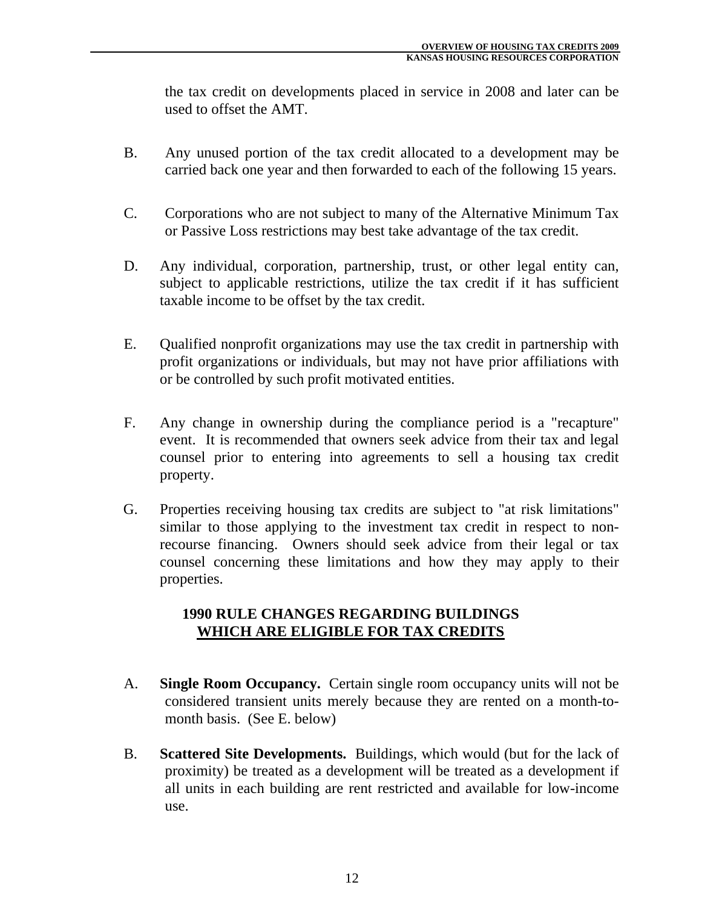the tax credit on developments placed in service in 2008 and later can be used to offset the AMT.

- B. Any unused portion of the tax credit allocated to a development may be carried back one year and then forwarded to each of the following 15 years.
- C. Corporations who are not subject to many of the Alternative Minimum Tax or Passive Loss restrictions may best take advantage of the tax credit.
- D. Any individual, corporation, partnership, trust, or other legal entity can, subject to applicable restrictions, utilize the tax credit if it has sufficient taxable income to be offset by the tax credit.
- E. Qualified nonprofit organizations may use the tax credit in partnership with profit organizations or individuals, but may not have prior affiliations with or be controlled by such profit motivated entities.
- F. Any change in ownership during the compliance period is a "recapture" event. It is recommended that owners seek advice from their tax and legal counsel prior to entering into agreements to sell a housing tax credit property.
- G. Properties receiving housing tax credits are subject to "at risk limitations" similar to those applying to the investment tax credit in respect to nonrecourse financing. Owners should seek advice from their legal or tax counsel concerning these limitations and how they may apply to their properties.

### **1990 RULE CHANGES REGARDING BUILDINGS WHICH ARE ELIGIBLE FOR TAX CREDITS**

- A. **Single Room Occupancy.** Certain single room occupancy units will not be considered transient units merely because they are rented on a month-tomonth basis. (See E. below)
- B. **Scattered Site Developments.** Buildings, which would (but for the lack of proximity) be treated as a development will be treated as a development if all units in each building are rent restricted and available for low-income use.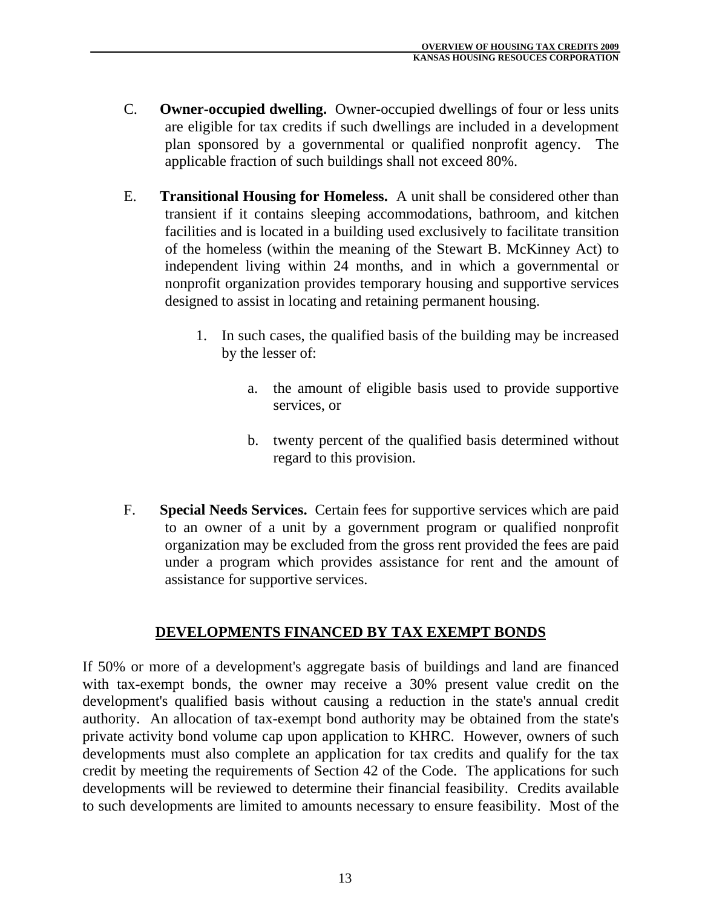- C. **Owner-occupied dwelling.** Owner-occupied dwellings of four or less units are eligible for tax credits if such dwellings are included in a development plan sponsored by a governmental or qualified nonprofit agency. The applicable fraction of such buildings shall not exceed 80%.
- E. **Transitional Housing for Homeless.** A unit shall be considered other than transient if it contains sleeping accommodations, bathroom, and kitchen facilities and is located in a building used exclusively to facilitate transition of the homeless (within the meaning of the Stewart B. McKinney Act) to independent living within 24 months, and in which a governmental or nonprofit organization provides temporary housing and supportive services designed to assist in locating and retaining permanent housing.
	- 1. In such cases, the qualified basis of the building may be increased by the lesser of:
		- a. the amount of eligible basis used to provide supportive services, or
		- b. twenty percent of the qualified basis determined without regard to this provision.
- F. **Special Needs Services.** Certain fees for supportive services which are paid to an owner of a unit by a government program or qualified nonprofit organization may be excluded from the gross rent provided the fees are paid under a program which provides assistance for rent and the amount of assistance for supportive services.

## **DEVELOPMENTS FINANCED BY TAX EXEMPT BONDS**

If 50% or more of a development's aggregate basis of buildings and land are financed with tax-exempt bonds, the owner may receive a 30% present value credit on the development's qualified basis without causing a reduction in the state's annual credit authority. An allocation of tax-exempt bond authority may be obtained from the state's private activity bond volume cap upon application to KHRC. However, owners of such developments must also complete an application for tax credits and qualify for the tax credit by meeting the requirements of Section 42 of the Code. The applications for such developments will be reviewed to determine their financial feasibility. Credits available to such developments are limited to amounts necessary to ensure feasibility. Most of the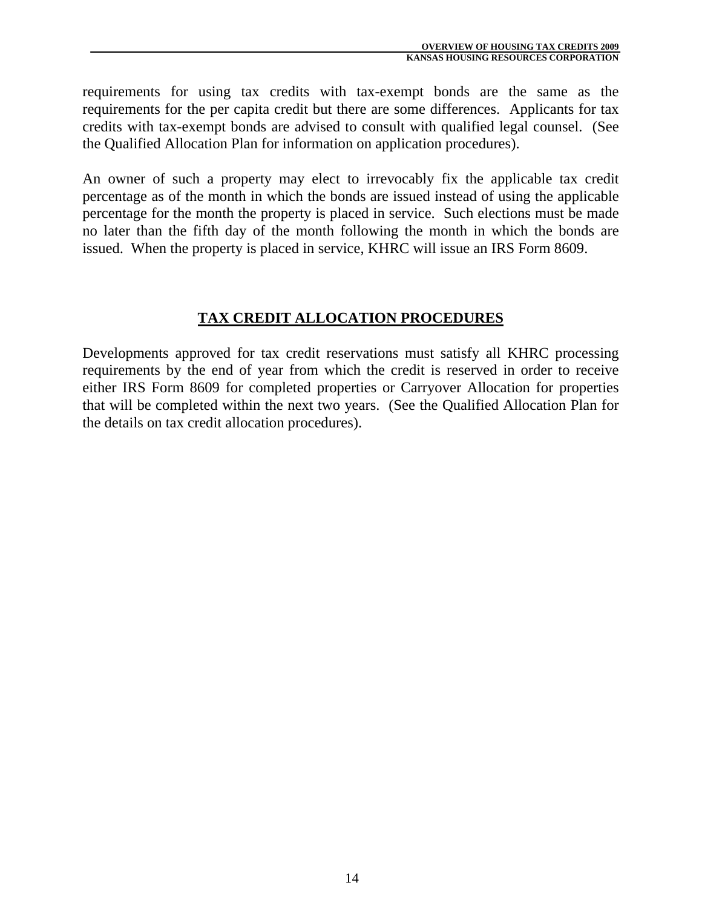requirements for using tax credits with tax-exempt bonds are the same as the requirements for the per capita credit but there are some differences. Applicants for tax credits with tax-exempt bonds are advised to consult with qualified legal counsel. (See the Qualified Allocation Plan for information on application procedures).

An owner of such a property may elect to irrevocably fix the applicable tax credit percentage as of the month in which the bonds are issued instead of using the applicable percentage for the month the property is placed in service. Such elections must be made no later than the fifth day of the month following the month in which the bonds are issued. When the property is placed in service, KHRC will issue an IRS Form 8609.

### **TAX CREDIT ALLOCATION PROCEDURES**

Developments approved for tax credit reservations must satisfy all KHRC processing requirements by the end of year from which the credit is reserved in order to receive either IRS Form 8609 for completed properties or Carryover Allocation for properties that will be completed within the next two years. (See the Qualified Allocation Plan for the details on tax credit allocation procedures).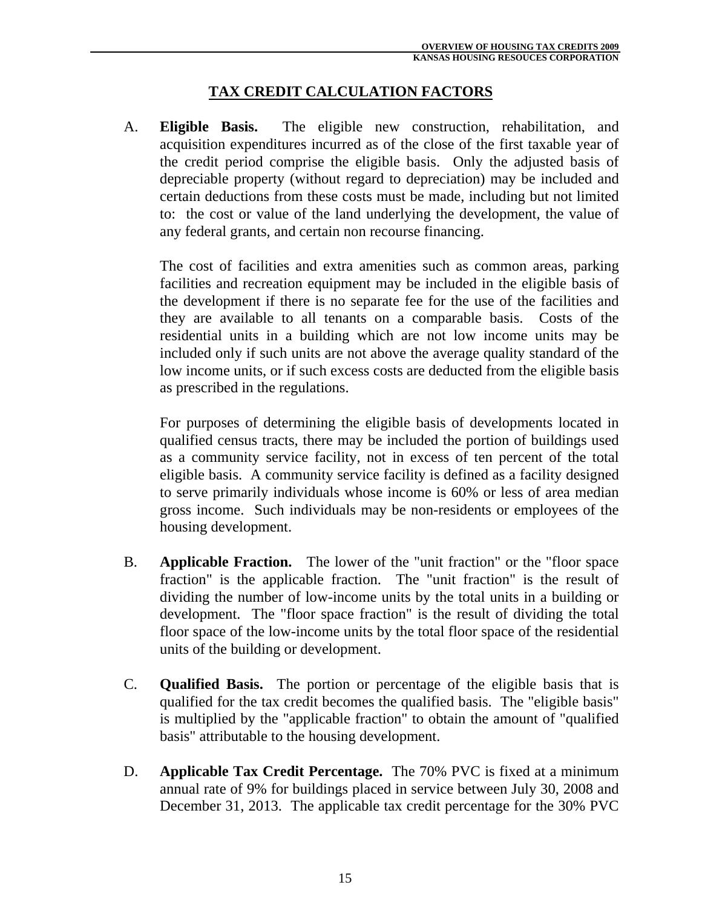### **TAX CREDIT CALCULATION FACTORS**

 A. **Eligible Basis.** The eligible new construction, rehabilitation, and acquisition expenditures incurred as of the close of the first taxable year of the credit period comprise the eligible basis. Only the adjusted basis of depreciable property (without regard to depreciation) may be included and certain deductions from these costs must be made, including but not limited to: the cost or value of the land underlying the development, the value of any federal grants, and certain non recourse financing.

 The cost of facilities and extra amenities such as common areas, parking facilities and recreation equipment may be included in the eligible basis of the development if there is no separate fee for the use of the facilities and they are available to all tenants on a comparable basis. Costs of the residential units in a building which are not low income units may be included only if such units are not above the average quality standard of the low income units, or if such excess costs are deducted from the eligible basis as prescribed in the regulations.

 For purposes of determining the eligible basis of developments located in qualified census tracts, there may be included the portion of buildings used as a community service facility, not in excess of ten percent of the total eligible basis. A community service facility is defined as a facility designed to serve primarily individuals whose income is 60% or less of area median gross income. Such individuals may be non-residents or employees of the housing development.

- B. **Applicable Fraction.** The lower of the "unit fraction" or the "floor space fraction" is the applicable fraction. The "unit fraction" is the result of dividing the number of low-income units by the total units in a building or development. The "floor space fraction" is the result of dividing the total floor space of the low-income units by the total floor space of the residential units of the building or development.
- C. **Qualified Basis.** The portion or percentage of the eligible basis that is qualified for the tax credit becomes the qualified basis. The "eligible basis" is multiplied by the "applicable fraction" to obtain the amount of "qualified basis" attributable to the housing development.
- D. **Applicable Tax Credit Percentage.** The 70% PVC is fixed at a minimum annual rate of 9% for buildings placed in service between July 30, 2008 and December 31, 2013. The applicable tax credit percentage for the 30% PVC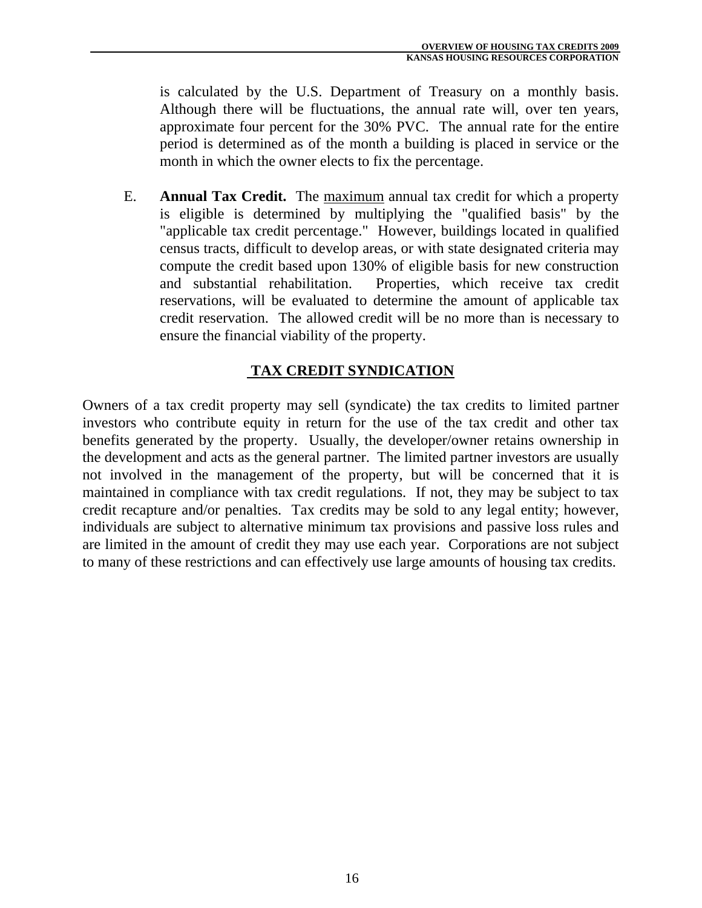is calculated by the U.S. Department of Treasury on a monthly basis. Although there will be fluctuations, the annual rate will, over ten years, approximate four percent for the 30% PVC. The annual rate for the entire period is determined as of the month a building is placed in service or the month in which the owner elects to fix the percentage.

 E. **Annual Tax Credit.** The maximum annual tax credit for which a property is eligible is determined by multiplying the "qualified basis" by the "applicable tax credit percentage." However, buildings located in qualified census tracts, difficult to develop areas, or with state designated criteria may compute the credit based upon 130% of eligible basis for new construction and substantial rehabilitation. Properties, which receive tax credit reservations, will be evaluated to determine the amount of applicable tax credit reservation. The allowed credit will be no more than is necessary to ensure the financial viability of the property.

# **TAX CREDIT SYNDICATION**

Owners of a tax credit property may sell (syndicate) the tax credits to limited partner investors who contribute equity in return for the use of the tax credit and other tax benefits generated by the property. Usually, the developer/owner retains ownership in the development and acts as the general partner. The limited partner investors are usually not involved in the management of the property, but will be concerned that it is maintained in compliance with tax credit regulations. If not, they may be subject to tax credit recapture and/or penalties. Tax credits may be sold to any legal entity; however, individuals are subject to alternative minimum tax provisions and passive loss rules and are limited in the amount of credit they may use each year. Corporations are not subject to many of these restrictions and can effectively use large amounts of housing tax credits.